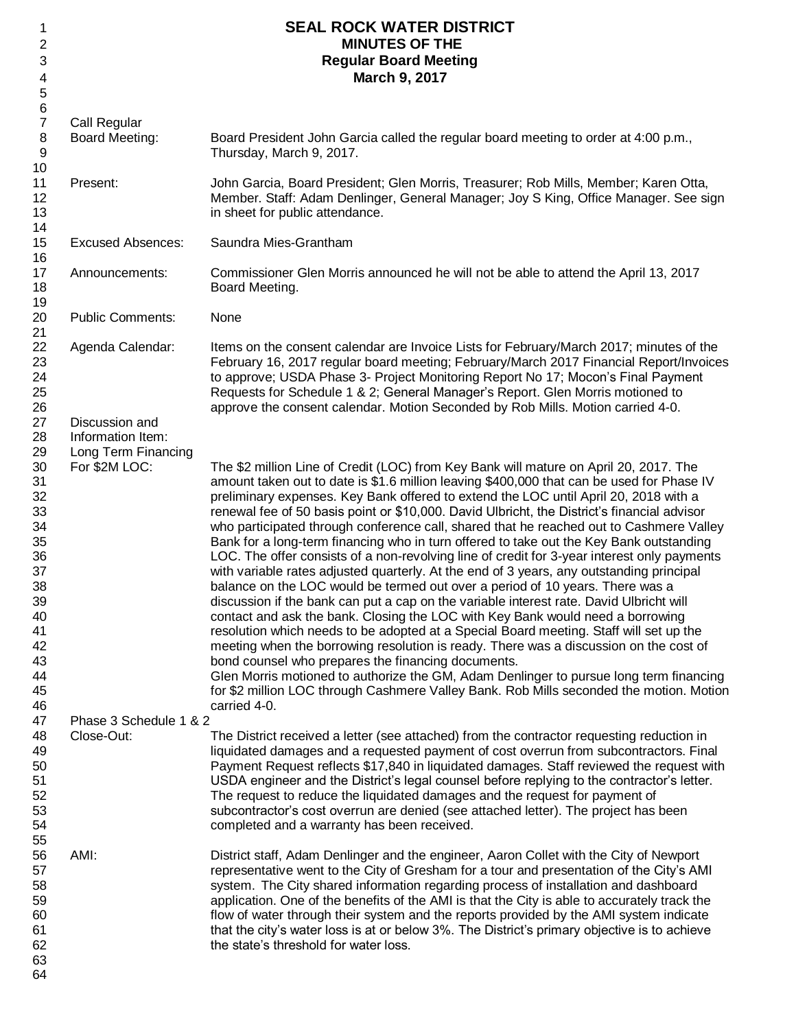| 1<br>2<br>3<br>4<br>$\sqrt{5}$                                                                                 |                                                                | <b>SEAL ROCK WATER DISTRICT</b><br><b>MINUTES OF THE</b><br><b>Regular Board Meeting</b><br>March 9, 2017                                                                                                                                                                                                                                                                                                                                                                                                                                                                                                                                                                                                                                                                                                                                                                                                                                                                                                                                                                                                                                                                                                                                                                                                                                                                                                                                                              |
|----------------------------------------------------------------------------------------------------------------|----------------------------------------------------------------|------------------------------------------------------------------------------------------------------------------------------------------------------------------------------------------------------------------------------------------------------------------------------------------------------------------------------------------------------------------------------------------------------------------------------------------------------------------------------------------------------------------------------------------------------------------------------------------------------------------------------------------------------------------------------------------------------------------------------------------------------------------------------------------------------------------------------------------------------------------------------------------------------------------------------------------------------------------------------------------------------------------------------------------------------------------------------------------------------------------------------------------------------------------------------------------------------------------------------------------------------------------------------------------------------------------------------------------------------------------------------------------------------------------------------------------------------------------------|
| $\,6$<br>$\overline{7}$<br>8<br>9<br>10                                                                        | Call Regular<br>Board Meeting:                                 | Board President John Garcia called the regular board meeting to order at 4:00 p.m.,<br>Thursday, March 9, 2017.                                                                                                                                                                                                                                                                                                                                                                                                                                                                                                                                                                                                                                                                                                                                                                                                                                                                                                                                                                                                                                                                                                                                                                                                                                                                                                                                                        |
| 11<br>12<br>13<br>14                                                                                           | Present:                                                       | John Garcia, Board President; Glen Morris, Treasurer; Rob Mills, Member; Karen Otta,<br>Member. Staff: Adam Denlinger, General Manager; Joy S King, Office Manager. See sign<br>in sheet for public attendance.                                                                                                                                                                                                                                                                                                                                                                                                                                                                                                                                                                                                                                                                                                                                                                                                                                                                                                                                                                                                                                                                                                                                                                                                                                                        |
| 15<br>16                                                                                                       | <b>Excused Absences:</b>                                       | Saundra Mies-Grantham                                                                                                                                                                                                                                                                                                                                                                                                                                                                                                                                                                                                                                                                                                                                                                                                                                                                                                                                                                                                                                                                                                                                                                                                                                                                                                                                                                                                                                                  |
| 17<br>18<br>19                                                                                                 | Announcements:                                                 | Commissioner Glen Morris announced he will not be able to attend the April 13, 2017<br>Board Meeting.                                                                                                                                                                                                                                                                                                                                                                                                                                                                                                                                                                                                                                                                                                                                                                                                                                                                                                                                                                                                                                                                                                                                                                                                                                                                                                                                                                  |
| 20<br>21                                                                                                       | <b>Public Comments:</b>                                        | None                                                                                                                                                                                                                                                                                                                                                                                                                                                                                                                                                                                                                                                                                                                                                                                                                                                                                                                                                                                                                                                                                                                                                                                                                                                                                                                                                                                                                                                                   |
| 22<br>23<br>24<br>25<br>26<br>27<br>28                                                                         | Agenda Calendar:<br>Discussion and<br>Information Item:        | Items on the consent calendar are Invoice Lists for February/March 2017; minutes of the<br>February 16, 2017 regular board meeting; February/March 2017 Financial Report/Invoices<br>to approve; USDA Phase 3- Project Monitoring Report No 17; Mocon's Final Payment<br>Requests for Schedule 1 & 2; General Manager's Report. Glen Morris motioned to<br>approve the consent calendar. Motion Seconded by Rob Mills. Motion carried 4-0.                                                                                                                                                                                                                                                                                                                                                                                                                                                                                                                                                                                                                                                                                                                                                                                                                                                                                                                                                                                                                             |
| 29<br>30<br>31<br>32<br>33<br>34<br>35<br>36<br>37<br>38<br>39<br>40<br>41<br>42<br>43<br>44<br>45<br>46<br>47 | Long Term Financing<br>For \$2M LOC:<br>Phase 3 Schedule 1 & 2 | The \$2 million Line of Credit (LOC) from Key Bank will mature on April 20, 2017. The<br>amount taken out to date is \$1.6 million leaving \$400,000 that can be used for Phase IV<br>preliminary expenses. Key Bank offered to extend the LOC until April 20, 2018 with a<br>renewal fee of 50 basis point or \$10,000. David Ulbricht, the District's financial advisor<br>who participated through conference call, shared that he reached out to Cashmere Valley<br>Bank for a long-term financing who in turn offered to take out the Key Bank outstanding<br>LOC. The offer consists of a non-revolving line of credit for 3-year interest only payments<br>with variable rates adjusted quarterly. At the end of 3 years, any outstanding principal<br>balance on the LOC would be termed out over a period of 10 years. There was a<br>discussion if the bank can put a cap on the variable interest rate. David Ulbricht will<br>contact and ask the bank. Closing the LOC with Key Bank would need a borrowing<br>resolution which needs to be adopted at a Special Board meeting. Staff will set up the<br>meeting when the borrowing resolution is ready. There was a discussion on the cost of<br>bond counsel who prepares the financing documents.<br>Glen Morris motioned to authorize the GM, Adam Denlinger to pursue long term financing<br>for \$2 million LOC through Cashmere Valley Bank. Rob Mills seconded the motion. Motion<br>carried 4-0. |
| 48<br>49<br>50<br>51<br>52<br>53<br>54<br>55                                                                   | Close-Out:                                                     | The District received a letter (see attached) from the contractor requesting reduction in<br>liquidated damages and a requested payment of cost overrun from subcontractors. Final<br>Payment Request reflects \$17,840 in liquidated damages. Staff reviewed the request with<br>USDA engineer and the District's legal counsel before replying to the contractor's letter.<br>The request to reduce the liquidated damages and the request for payment of<br>subcontractor's cost overrun are denied (see attached letter). The project has been<br>completed and a warranty has been received.                                                                                                                                                                                                                                                                                                                                                                                                                                                                                                                                                                                                                                                                                                                                                                                                                                                                      |
| 56<br>57<br>58<br>59<br>60<br>61<br>62<br>63<br>64                                                             | AMI:                                                           | District staff, Adam Denlinger and the engineer, Aaron Collet with the City of Newport<br>representative went to the City of Gresham for a tour and presentation of the City's AMI<br>system. The City shared information regarding process of installation and dashboard<br>application. One of the benefits of the AMI is that the City is able to accurately track the<br>flow of water through their system and the reports provided by the AMI system indicate<br>that the city's water loss is at or below 3%. The District's primary objective is to achieve<br>the state's threshold for water loss.                                                                                                                                                                                                                                                                                                                                                                                                                                                                                                                                                                                                                                                                                                                                                                                                                                                           |